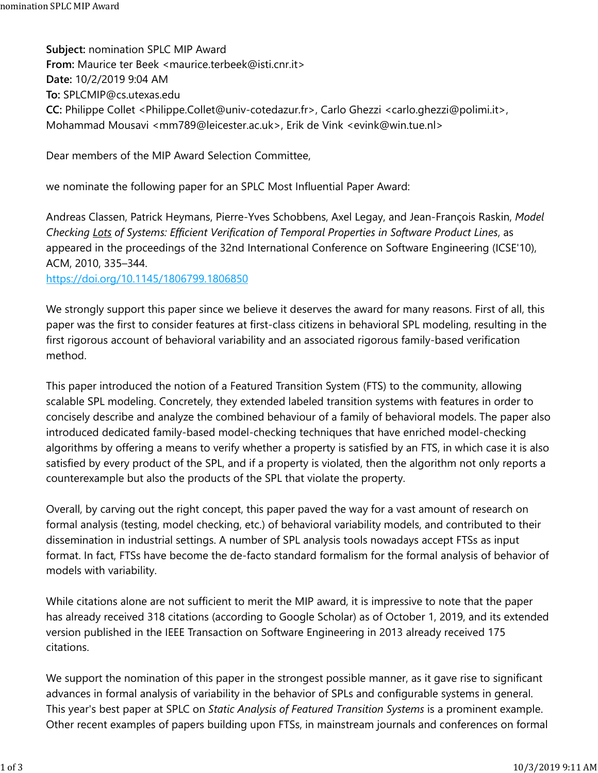**Subject:** nomination SPLC MIP Award **From:** Maurice ter Beek <maurice.terbeek@isti.cnr.it> **Date:** 10/2/2019 9:04 AM **To:** SPLCMIP@cs.utexas.edu **CC:** Philippe Collet <Philippe.Collet@univ-cotedazur.fr>, Carlo Ghezzi <carlo.ghezzi@polimi.it>, Mohammad Mousavi <mm789@leicester.ac.uk>, Erik de Vink <evink@win.tue.nl>

Dear members of the MIP Award Selection Committee,

we nominate the following paper for an SPLC Most Influential Paper Award:

Andreas Classen, Patrick Heymans, Pierre-Yves Schobbens, Axel Legay, and Jean-François Raskin, *Model Checking Lots of Systems: Efficient Verification of Temporal Properties in Software Product Lines*, as appeared in the proceedings of the 32nd International Conference on Software Engineering (ICSE'10), ACM, 2010, 335–344.

https://doi.org/10.1145/1806799.1806850

We strongly support this paper since we believe it deserves the award for many reasons. First of all, this paper was the first to consider features at first-class citizens in behavioral SPL modeling, resulting in the first rigorous account of behavioral variability and an associated rigorous family-based verification method.

This paper introduced the notion of a Featured Transition System (FTS) to the community, allowing scalable SPL modeling. Concretely, they extended labeled transition systems with features in order to concisely describe and analyze the combined behaviour of a family of behavioral models. The paper also introduced dedicated family-based model-checking techniques that have enriched model-checking algorithms by offering a means to verify whether a property is satisfied by an FTS, in which case it is also satisfied by every product of the SPL, and if a property is violated, then the algorithm not only reports a counterexample but also the products of the SPL that violate the property.

Overall, by carving out the right concept, this paper paved the way for a vast amount of research on formal analysis (testing, model checking, etc.) of behavioral variability models, and contributed to their dissemination in industrial settings. A number of SPL analysis tools nowadays accept FTSs as input format. In fact, FTSs have become the de-facto standard formalism for the formal analysis of behavior of models with variability.

While citations alone are not sufficient to merit the MIP award, it is impressive to note that the paper has already received 318 citations (according to Google Scholar) as of October 1, 2019, and its extended version published in the IEEE Transaction on Software Engineering in 2013 already received 175 citations.

We support the nomination of this paper in the strongest possible manner, as it gave rise to significant advances in formal analysis of variability in the behavior of SPLs and configurable systems in general. This year's best paper at SPLC on *Static Analysis of Featured Transition Systems* is a prominent example. Other recent examples of papers building upon FTSs, in mainstream journals and conferences on formal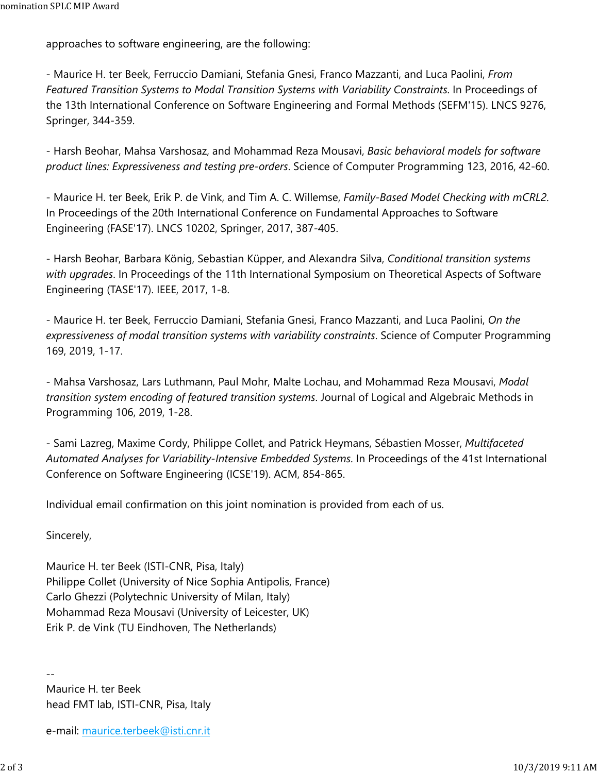approaches to software engineering, are the following:

- Maurice H. ter Beek, Ferruccio Damiani, Stefania Gnesi, Franco Mazzanti, and Luca Paolini, *From Featured Transition Systems to Modal Transition Systems with Variability Constraints*. In Proceedings of the 13th International Conference on Software Engineering and Formal Methods (SEFM'15). LNCS 9276, Springer, 344-359.

- Harsh Beohar, Mahsa Varshosaz, and Mohammad Reza Mousavi, *Basic behavioral models for software product lines: Expressiveness and testing pre-orders*. Science of Computer Programming 123, 2016, 42-60.

- Maurice H. ter Beek, Erik P. de Vink, and Tim A. C. Willemse, *Family-Based Model Checking with mCRL2*. In Proceedings of the 20th International Conference on Fundamental Approaches to Software Engineering (FASE'17). LNCS 10202, Springer, 2017, 387-405.

- Harsh Beohar, Barbara König, Sebastian Küpper, and Alexandra Silva, *Conditional transition systems with upgrades*. In Proceedings of the 11th International Symposium on Theoretical Aspects of Software Engineering (TASE'17). IEEE, 2017, 1-8.

- Maurice H. ter Beek, Ferruccio Damiani, Stefania Gnesi, Franco Mazzanti, and Luca Paolini, *On the expressiveness of modal transition systems with variability constraints*. Science of Computer Programming 169, 2019, 1-17.

- Mahsa Varshosaz, Lars Luthmann, Paul Mohr, Malte Lochau, and Mohammad Reza Mousavi, *Modal transition system encoding of featured transition systems*. Journal of Logical and Algebraic Methods in Programming 106, 2019, 1-28.

- Sami Lazreg, Maxime Cordy, Philippe Collet, and Patrick Heymans, Sébastien Mosser, *Multifaceted Automated Analyses for Variability-Intensive Embedded Systems*. In Proceedings of the 41st International Conference on Software Engineering (ICSE'19). ACM, 854-865.

Individual email confirmation on this joint nomination is provided from each of us.

Sincerely,

--

Maurice H. ter Beek (ISTI-CNR, Pisa, Italy) Philippe Collet (University of Nice Sophia Antipolis, France) Carlo Ghezzi (Polytechnic University of Milan, Italy) Mohammad Reza Mousavi (University of Leicester, UK) Erik P. de Vink (TU Eindhoven, The Netherlands)

Maurice H. ter Beek head FMT lab, ISTI-CNR, Pisa, Italy

e-mail: maurice.terbeek@isti.cnr.it